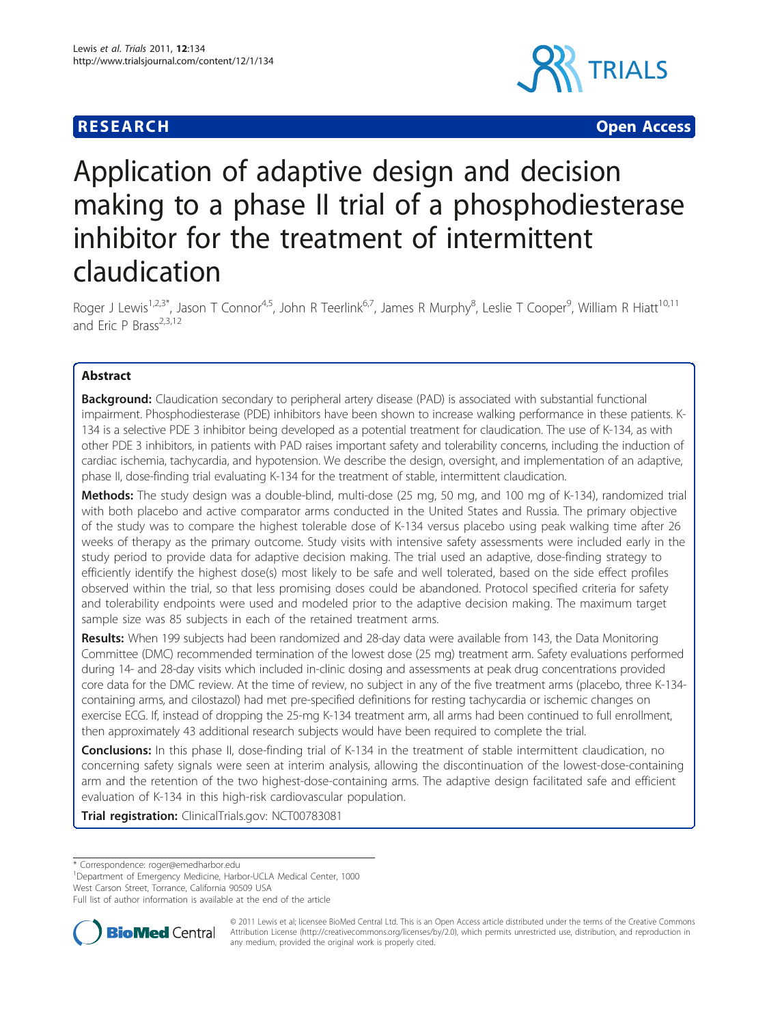# **RESEARCH CONSTRUCTION CONTROL**



# Application of adaptive design and decision making to a phase II trial of a phosphodiesterase inhibitor for the treatment of intermittent claudication

Roger J Lewis<sup>1,2,3\*</sup>, Jason T Connor<sup>4,5</sup>, John R Teerlink<sup>6,7</sup>, James R Murphy<sup>8</sup>, Leslie T Cooper<sup>9</sup>, William R Hiatt<sup>10,11</sup> and Fric P Brass<sup>2,3,12</sup>

# Abstract

**Background:** Claudication secondary to peripheral artery disease (PAD) is associated with substantial functional impairment. Phosphodiesterase (PDE) inhibitors have been shown to increase walking performance in these patients. K-134 is a selective PDE 3 inhibitor being developed as a potential treatment for claudication. The use of K-134, as with other PDE 3 inhibitors, in patients with PAD raises important safety and tolerability concerns, including the induction of cardiac ischemia, tachycardia, and hypotension. We describe the design, oversight, and implementation of an adaptive, phase II, dose-finding trial evaluating K-134 for the treatment of stable, intermittent claudication.

Methods: The study design was a double-blind, multi-dose (25 mg, 50 mg, and 100 mg of K-134), randomized trial with both placebo and active comparator arms conducted in the United States and Russia. The primary objective of the study was to compare the highest tolerable dose of K-134 versus placebo using peak walking time after 26 weeks of therapy as the primary outcome. Study visits with intensive safety assessments were included early in the study period to provide data for adaptive decision making. The trial used an adaptive, dose-finding strategy to efficiently identify the highest dose(s) most likely to be safe and well tolerated, based on the side effect profiles observed within the trial, so that less promising doses could be abandoned. Protocol specified criteria for safety and tolerability endpoints were used and modeled prior to the adaptive decision making. The maximum target sample size was 85 subjects in each of the retained treatment arms.

Results: When 199 subjects had been randomized and 28-day data were available from 143, the Data Monitoring Committee (DMC) recommended termination of the lowest dose (25 mg) treatment arm. Safety evaluations performed during 14- and 28-day visits which included in-clinic dosing and assessments at peak drug concentrations provided core data for the DMC review. At the time of review, no subject in any of the five treatment arms (placebo, three K-134 containing arms, and cilostazol) had met pre-specified definitions for resting tachycardia or ischemic changes on exercise ECG. If, instead of dropping the 25-mg K-134 treatment arm, all arms had been continued to full enrollment, then approximately 43 additional research subjects would have been required to complete the trial.

Conclusions: In this phase II, dose-finding trial of K-134 in the treatment of stable intermittent claudication, no concerning safety signals were seen at interim analysis, allowing the discontinuation of the lowest-dose-containing arm and the retention of the two highest-dose-containing arms. The adaptive design facilitated safe and efficient evaluation of K-134 in this high-risk cardiovascular population.

Trial registration: ClinicalTrials.gov: [NCT00783081](http://www.clinicaltrials.gov/ct2/show/NCT00783081)

\* Correspondence: [roger@emedharbor.edu](mailto:roger@emedharbor.edu)

<sup>1</sup>Department of Emergency Medicine, Harbor-UCLA Medical Center, 1000 West Carson Street, Torrance, California 90509 USA

Full list of author information is available at the end of the article



© 2011 Lewis et al; licensee BioMed Central Ltd. This is an Open Access article distributed under the terms of the Creative Commons Attribution License [\(http://creativecommons.org/licenses/by/2.0](http://creativecommons.org/licenses/by/2.0)), which permits unrestricted use, distribution, and reproduction in any medium, provided the original work is properly cited.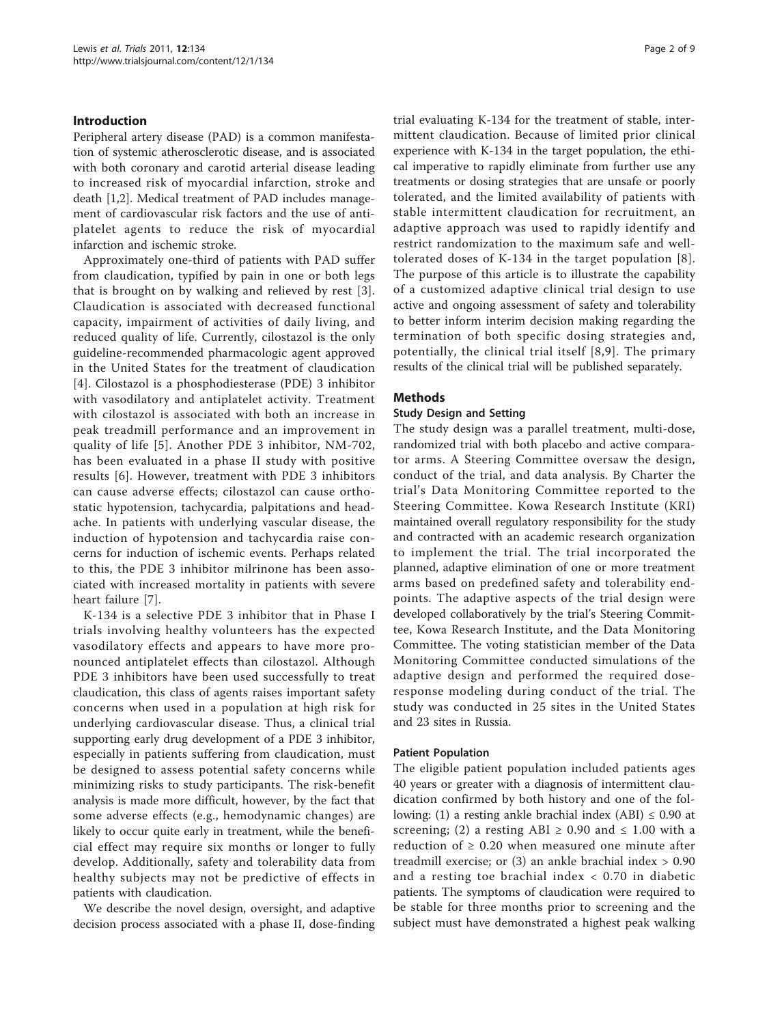# Introduction

Peripheral artery disease (PAD) is a common manifestation of systemic atherosclerotic disease, and is associated with both coronary and carotid arterial disease leading to increased risk of myocardial infarction, stroke and death [[1](#page-8-0),[2](#page-8-0)]. Medical treatment of PAD includes management of cardiovascular risk factors and the use of antiplatelet agents to reduce the risk of myocardial infarction and ischemic stroke.

Approximately one-third of patients with PAD suffer from claudication, typified by pain in one or both legs that is brought on by walking and relieved by rest [[3](#page-8-0)]. Claudication is associated with decreased functional capacity, impairment of activities of daily living, and reduced quality of life. Currently, cilostazol is the only guideline-recommended pharmacologic agent approved in the United States for the treatment of claudication [[4\]](#page-8-0). Cilostazol is a phosphodiesterase (PDE) 3 inhibitor with vasodilatory and antiplatelet activity. Treatment with cilostazol is associated with both an increase in peak treadmill performance and an improvement in quality of life [\[5\]](#page-8-0). Another PDE 3 inhibitor, NM-702, has been evaluated in a phase II study with positive results [[6](#page-8-0)]. However, treatment with PDE 3 inhibitors can cause adverse effects; cilostazol can cause orthostatic hypotension, tachycardia, palpitations and headache. In patients with underlying vascular disease, the induction of hypotension and tachycardia raise concerns for induction of ischemic events. Perhaps related to this, the PDE 3 inhibitor milrinone has been associated with increased mortality in patients with severe heart failure [\[7](#page-8-0)].

K-134 is a selective PDE 3 inhibitor that in Phase I trials involving healthy volunteers has the expected vasodilatory effects and appears to have more pronounced antiplatelet effects than cilostazol. Although PDE 3 inhibitors have been used successfully to treat claudication, this class of agents raises important safety concerns when used in a population at high risk for underlying cardiovascular disease. Thus, a clinical trial supporting early drug development of a PDE 3 inhibitor, especially in patients suffering from claudication, must be designed to assess potential safety concerns while minimizing risks to study participants. The risk-benefit analysis is made more difficult, however, by the fact that some adverse effects (e.g., hemodynamic changes) are likely to occur quite early in treatment, while the beneficial effect may require six months or longer to fully develop. Additionally, safety and tolerability data from healthy subjects may not be predictive of effects in patients with claudication.

We describe the novel design, oversight, and adaptive decision process associated with a phase II, dose-finding trial evaluating K-134 for the treatment of stable, intermittent claudication. Because of limited prior clinical experience with K-134 in the target population, the ethical imperative to rapidly eliminate from further use any treatments or dosing strategies that are unsafe or poorly tolerated, and the limited availability of patients with stable intermittent claudication for recruitment, an adaptive approach was used to rapidly identify and restrict randomization to the maximum safe and welltolerated doses of K-134 in the target population [[8\]](#page-8-0). The purpose of this article is to illustrate the capability of a customized adaptive clinical trial design to use active and ongoing assessment of safety and tolerability to better inform interim decision making regarding the termination of both specific dosing strategies and, potentially, the clinical trial itself [[8](#page-8-0),[9\]](#page-8-0). The primary results of the clinical trial will be published separately.

# Methods

# Study Design and Setting

The study design was a parallel treatment, multi-dose, randomized trial with both placebo and active comparator arms. A Steering Committee oversaw the design, conduct of the trial, and data analysis. By Charter the trial's Data Monitoring Committee reported to the Steering Committee. Kowa Research Institute (KRI) maintained overall regulatory responsibility for the study and contracted with an academic research organization to implement the trial. The trial incorporated the planned, adaptive elimination of one or more treatment arms based on predefined safety and tolerability endpoints. The adaptive aspects of the trial design were developed collaboratively by the trial's Steering Committee, Kowa Research Institute, and the Data Monitoring Committee. The voting statistician member of the Data Monitoring Committee conducted simulations of the adaptive design and performed the required doseresponse modeling during conduct of the trial. The study was conducted in 25 sites in the United States and 23 sites in Russia.

# Patient Population

The eligible patient population included patients ages 40 years or greater with a diagnosis of intermittent claudication confirmed by both history and one of the following: (1) a resting ankle brachial index (ABI)  $\leq$  0.90 at screening; (2) a resting ABI  $\geq$  0.90 and  $\leq$  1.00 with a reduction of  $\geq 0.20$  when measured one minute after treadmill exercise; or (3) an ankle brachial index > 0.90 and a resting toe brachial index < 0.70 in diabetic patients. The symptoms of claudication were required to be stable for three months prior to screening and the subject must have demonstrated a highest peak walking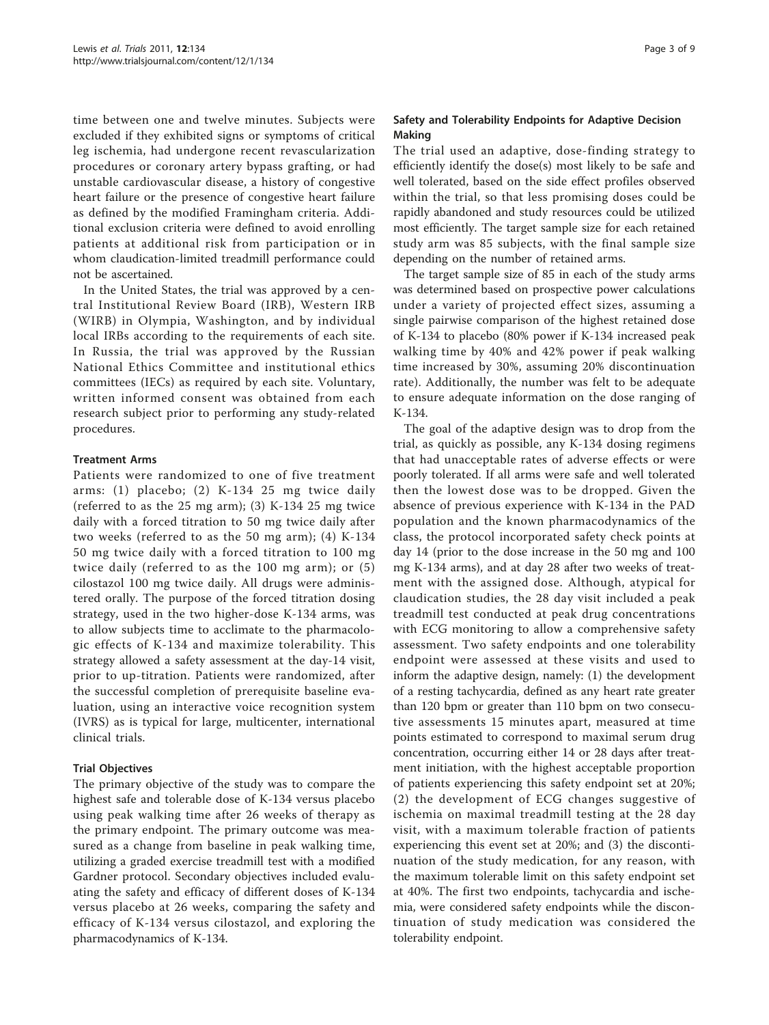time between one and twelve minutes. Subjects were excluded if they exhibited signs or symptoms of critical leg ischemia, had undergone recent revascularization procedures or coronary artery bypass grafting, or had unstable cardiovascular disease, a history of congestive heart failure or the presence of congestive heart failure as defined by the modified Framingham criteria. Additional exclusion criteria were defined to avoid enrolling patients at additional risk from participation or in whom claudication-limited treadmill performance could not be ascertained.

In the United States, the trial was approved by a central Institutional Review Board (IRB), Western IRB (WIRB) in Olympia, Washington, and by individual local IRBs according to the requirements of each site. In Russia, the trial was approved by the Russian National Ethics Committee and institutional ethics committees (IECs) as required by each site. Voluntary, written informed consent was obtained from each research subject prior to performing any study-related procedures.

# Treatment Arms

Patients were randomized to one of five treatment arms: (1) placebo; (2) K-134 25 mg twice daily (referred to as the 25 mg arm); (3) K-134 25 mg twice daily with a forced titration to 50 mg twice daily after two weeks (referred to as the 50 mg arm); (4) K-134 50 mg twice daily with a forced titration to 100 mg twice daily (referred to as the 100 mg arm); or (5) cilostazol 100 mg twice daily. All drugs were administered orally. The purpose of the forced titration dosing strategy, used in the two higher-dose K-134 arms, was to allow subjects time to acclimate to the pharmacologic effects of K-134 and maximize tolerability. This strategy allowed a safety assessment at the day-14 visit, prior to up-titration. Patients were randomized, after the successful completion of prerequisite baseline evaluation, using an interactive voice recognition system (IVRS) as is typical for large, multicenter, international clinical trials.

# Trial Objectives

The primary objective of the study was to compare the highest safe and tolerable dose of K-134 versus placebo using peak walking time after 26 weeks of therapy as the primary endpoint. The primary outcome was measured as a change from baseline in peak walking time, utilizing a graded exercise treadmill test with a modified Gardner protocol. Secondary objectives included evaluating the safety and efficacy of different doses of K-134 versus placebo at 26 weeks, comparing the safety and efficacy of K-134 versus cilostazol, and exploring the pharmacodynamics of K-134.

# Safety and Tolerability Endpoints for Adaptive Decision Making

The trial used an adaptive, dose-finding strategy to efficiently identify the dose(s) most likely to be safe and well tolerated, based on the side effect profiles observed within the trial, so that less promising doses could be rapidly abandoned and study resources could be utilized most efficiently. The target sample size for each retained study arm was 85 subjects, with the final sample size depending on the number of retained arms.

The target sample size of 85 in each of the study arms was determined based on prospective power calculations under a variety of projected effect sizes, assuming a single pairwise comparison of the highest retained dose of K-134 to placebo (80% power if K-134 increased peak walking time by 40% and 42% power if peak walking time increased by 30%, assuming 20% discontinuation rate). Additionally, the number was felt to be adequate to ensure adequate information on the dose ranging of K-134.

The goal of the adaptive design was to drop from the trial, as quickly as possible, any K-134 dosing regimens that had unacceptable rates of adverse effects or were poorly tolerated. If all arms were safe and well tolerated then the lowest dose was to be dropped. Given the absence of previous experience with K-134 in the PAD population and the known pharmacodynamics of the class, the protocol incorporated safety check points at day 14 (prior to the dose increase in the 50 mg and 100 mg K-134 arms), and at day 28 after two weeks of treatment with the assigned dose. Although, atypical for claudication studies, the 28 day visit included a peak treadmill test conducted at peak drug concentrations with ECG monitoring to allow a comprehensive safety assessment. Two safety endpoints and one tolerability endpoint were assessed at these visits and used to inform the adaptive design, namely: (1) the development of a resting tachycardia, defined as any heart rate greater than 120 bpm or greater than 110 bpm on two consecutive assessments 15 minutes apart, measured at time points estimated to correspond to maximal serum drug concentration, occurring either 14 or 28 days after treatment initiation, with the highest acceptable proportion of patients experiencing this safety endpoint set at 20%; (2) the development of ECG changes suggestive of ischemia on maximal treadmill testing at the 28 day visit, with a maximum tolerable fraction of patients experiencing this event set at 20%; and (3) the discontinuation of the study medication, for any reason, with the maximum tolerable limit on this safety endpoint set at 40%. The first two endpoints, tachycardia and ischemia, were considered safety endpoints while the discontinuation of study medication was considered the tolerability endpoint.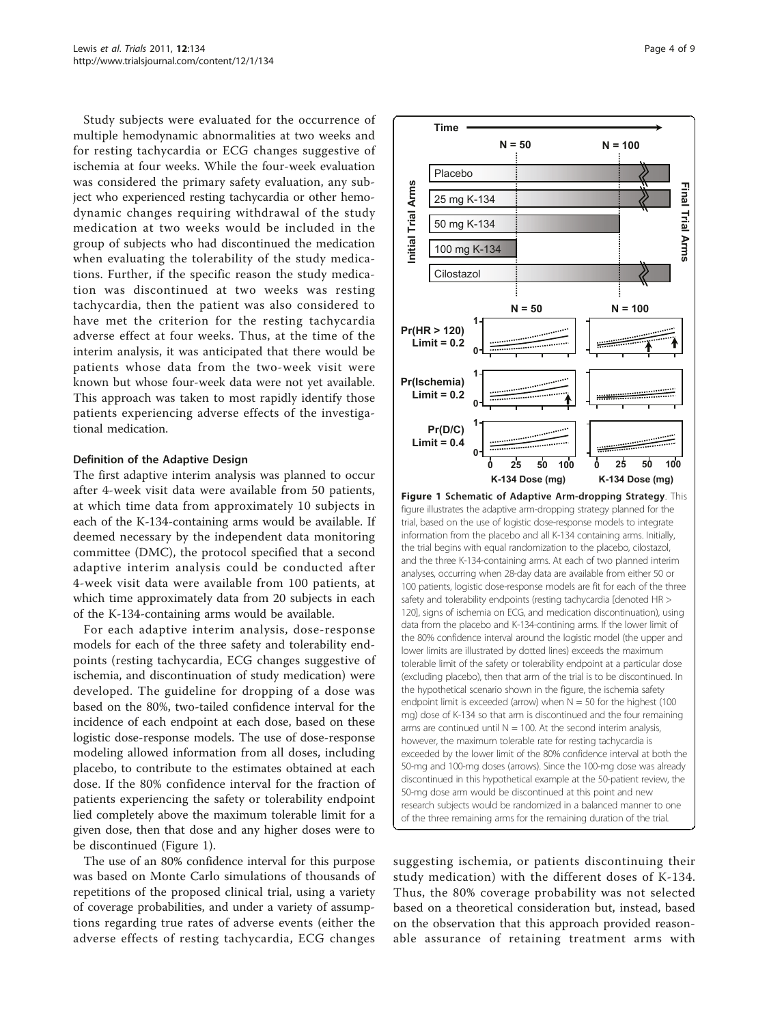Study subjects were evaluated for the occurrence of multiple hemodynamic abnormalities at two weeks and for resting tachycardia or ECG changes suggestive of ischemia at four weeks. While the four-week evaluation was considered the primary safety evaluation, any subject who experienced resting tachycardia or other hemodynamic changes requiring withdrawal of the study medication at two weeks would be included in the group of subjects who had discontinued the medication when evaluating the tolerability of the study medications. Further, if the specific reason the study medication was discontinued at two weeks was resting tachycardia, then the patient was also considered to have met the criterion for the resting tachycardia adverse effect at four weeks. Thus, at the time of the interim analysis, it was anticipated that there would be patients whose data from the two-week visit were known but whose four-week data were not yet available. This approach was taken to most rapidly identify those patients experiencing adverse effects of the investigational medication.

# Definition of the Adaptive Design

The first adaptive interim analysis was planned to occur after 4-week visit data were available from 50 patients, at which time data from approximately 10 subjects in each of the K-134-containing arms would be available. If deemed necessary by the independent data monitoring committee (DMC), the protocol specified that a second adaptive interim analysis could be conducted after 4-week visit data were available from 100 patients, at which time approximately data from 20 subjects in each of the K-134-containing arms would be available.

For each adaptive interim analysis, dose-response models for each of the three safety and tolerability endpoints (resting tachycardia, ECG changes suggestive of ischemia, and discontinuation of study medication) were developed. The guideline for dropping of a dose was based on the 80%, two-tailed confidence interval for the incidence of each endpoint at each dose, based on these logistic dose-response models. The use of dose-response modeling allowed information from all doses, including placebo, to contribute to the estimates obtained at each dose. If the 80% confidence interval for the fraction of patients experiencing the safety or tolerability endpoint lied completely above the maximum tolerable limit for a given dose, then that dose and any higher doses were to be discontinued (Figure 1).

The use of an 80% confidence interval for this purpose was based on Monte Carlo simulations of thousands of repetitions of the proposed clinical trial, using a variety of coverage probabilities, and under a variety of assumptions regarding true rates of adverse events (either the adverse effects of resting tachycardia, ECG changes





Figure 1 Schematic of Adaptive Arm-dropping Strategy. This figure illustrates the adaptive arm-dropping strategy planned for the trial, based on the use of logistic dose-response models to integrate information from the placebo and all K-134 containing arms. Initially, the trial begins with equal randomization to the placebo, cilostazol, and the three K-134-containing arms. At each of two planned interim analyses, occurring when 28-day data are available from either 50 or 100 patients, logistic dose-response models are fit for each of the three safety and tolerability endpoints (resting tachycardia [denoted HR > 120], signs of ischemia on ECG, and medication discontinuation), using data from the placebo and K-134-contining arms. If the lower limit of the 80% confidence interval around the logistic model (the upper and lower limits are illustrated by dotted lines) exceeds the maximum tolerable limit of the safety or tolerability endpoint at a particular dose (excluding placebo), then that arm of the trial is to be discontinued. In the hypothetical scenario shown in the figure, the ischemia safety endpoint limit is exceeded (arrow) when  $N = 50$  for the highest (100 mg) dose of K-134 so that arm is discontinued and the four remaining arms are continued until  $N = 100$ . At the second interim analysis, however, the maximum tolerable rate for resting tachycardia is exceeded by the lower limit of the 80% confidence interval at both the 50-mg and 100-mg doses (arrows). Since the 100-mg dose was already discontinued in this hypothetical example at the 50-patient review, the 50-mg dose arm would be discontinued at this point and new research subjects would be randomized in a balanced manner to one of the three remaining arms for the remaining duration of the trial.

suggesting ischemia, or patients discontinuing their study medication) with the different doses of K-134. Thus, the 80% coverage probability was not selected based on a theoretical consideration but, instead, based on the observation that this approach provided reasonable assurance of retaining treatment arms with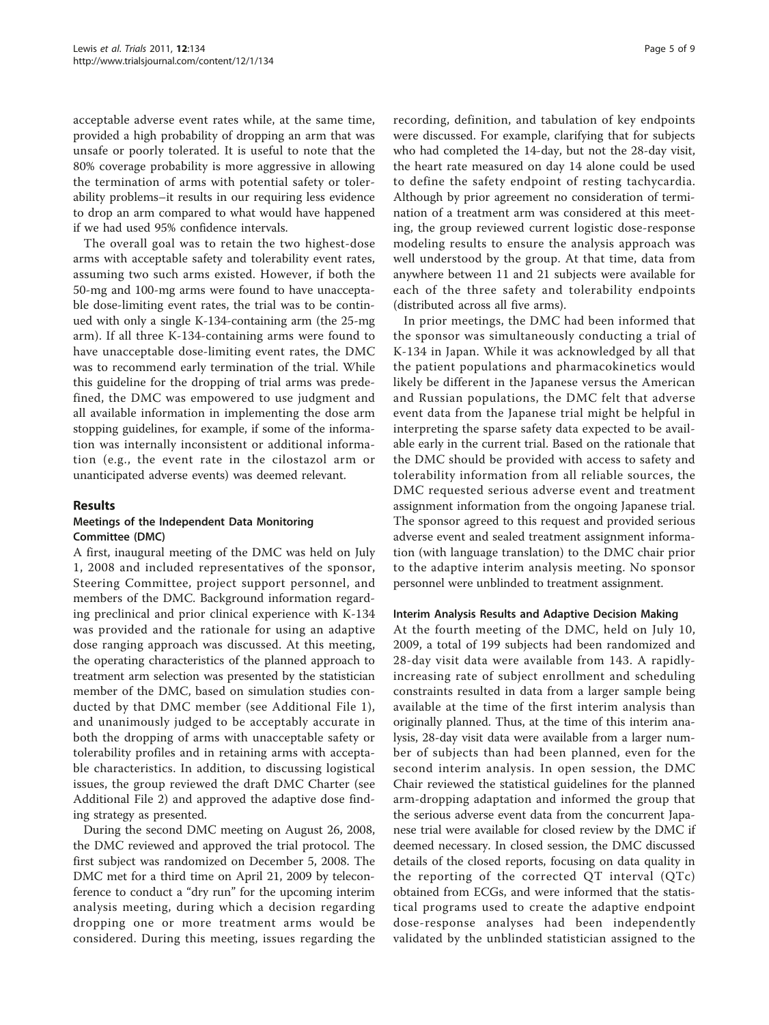acceptable adverse event rates while, at the same time, provided a high probability of dropping an arm that was unsafe or poorly tolerated. It is useful to note that the 80% coverage probability is more aggressive in allowing the termination of arms with potential safety or tolerability problems–it results in our requiring less evidence to drop an arm compared to what would have happened if we had used 95% confidence intervals.

The overall goal was to retain the two highest-dose arms with acceptable safety and tolerability event rates, assuming two such arms existed. However, if both the 50-mg and 100-mg arms were found to have unacceptable dose-limiting event rates, the trial was to be continued with only a single K-134-containing arm (the 25-mg arm). If all three K-134-containing arms were found to have unacceptable dose-limiting event rates, the DMC was to recommend early termination of the trial. While this guideline for the dropping of trial arms was predefined, the DMC was empowered to use judgment and all available information in implementing the dose arm stopping guidelines, for example, if some of the information was internally inconsistent or additional information (e.g., the event rate in the cilostazol arm or unanticipated adverse events) was deemed relevant.

# Results

# Meetings of the Independent Data Monitoring Committee (DMC)

A first, inaugural meeting of the DMC was held on July 1, 2008 and included representatives of the sponsor, Steering Committee, project support personnel, and members of the DMC. Background information regarding preclinical and prior clinical experience with K-134 was provided and the rationale for using an adaptive dose ranging approach was discussed. At this meeting, the operating characteristics of the planned approach to treatment arm selection was presented by the statistician member of the DMC, based on simulation studies conducted by that DMC member (see Additional File [1\)](#page-8-0), and unanimously judged to be acceptably accurate in both the dropping of arms with unacceptable safety or tolerability profiles and in retaining arms with acceptable characteristics. In addition, to discussing logistical issues, the group reviewed the draft DMC Charter (see Additional File [2](#page-8-0)) and approved the adaptive dose finding strategy as presented.

During the second DMC meeting on August 26, 2008, the DMC reviewed and approved the trial protocol. The first subject was randomized on December 5, 2008. The DMC met for a third time on April 21, 2009 by teleconference to conduct a "dry run" for the upcoming interim analysis meeting, during which a decision regarding dropping one or more treatment arms would be considered. During this meeting, issues regarding the recording, definition, and tabulation of key endpoints were discussed. For example, clarifying that for subjects who had completed the 14-day, but not the 28-day visit, the heart rate measured on day 14 alone could be used to define the safety endpoint of resting tachycardia. Although by prior agreement no consideration of termination of a treatment arm was considered at this meeting, the group reviewed current logistic dose-response modeling results to ensure the analysis approach was well understood by the group. At that time, data from anywhere between 11 and 21 subjects were available for each of the three safety and tolerability endpoints (distributed across all five arms).

In prior meetings, the DMC had been informed that the sponsor was simultaneously conducting a trial of K-134 in Japan. While it was acknowledged by all that the patient populations and pharmacokinetics would likely be different in the Japanese versus the American and Russian populations, the DMC felt that adverse event data from the Japanese trial might be helpful in interpreting the sparse safety data expected to be available early in the current trial. Based on the rationale that the DMC should be provided with access to safety and tolerability information from all reliable sources, the DMC requested serious adverse event and treatment assignment information from the ongoing Japanese trial. The sponsor agreed to this request and provided serious adverse event and sealed treatment assignment information (with language translation) to the DMC chair prior to the adaptive interim analysis meeting. No sponsor personnel were unblinded to treatment assignment.

## Interim Analysis Results and Adaptive Decision Making

At the fourth meeting of the DMC, held on July 10, 2009, a total of 199 subjects had been randomized and 28-day visit data were available from 143. A rapidlyincreasing rate of subject enrollment and scheduling constraints resulted in data from a larger sample being available at the time of the first interim analysis than originally planned. Thus, at the time of this interim analysis, 28-day visit data were available from a larger number of subjects than had been planned, even for the second interim analysis. In open session, the DMC Chair reviewed the statistical guidelines for the planned arm-dropping adaptation and informed the group that the serious adverse event data from the concurrent Japanese trial were available for closed review by the DMC if deemed necessary. In closed session, the DMC discussed details of the closed reports, focusing on data quality in the reporting of the corrected QT interval (QTc) obtained from ECGs, and were informed that the statistical programs used to create the adaptive endpoint dose-response analyses had been independently validated by the unblinded statistician assigned to the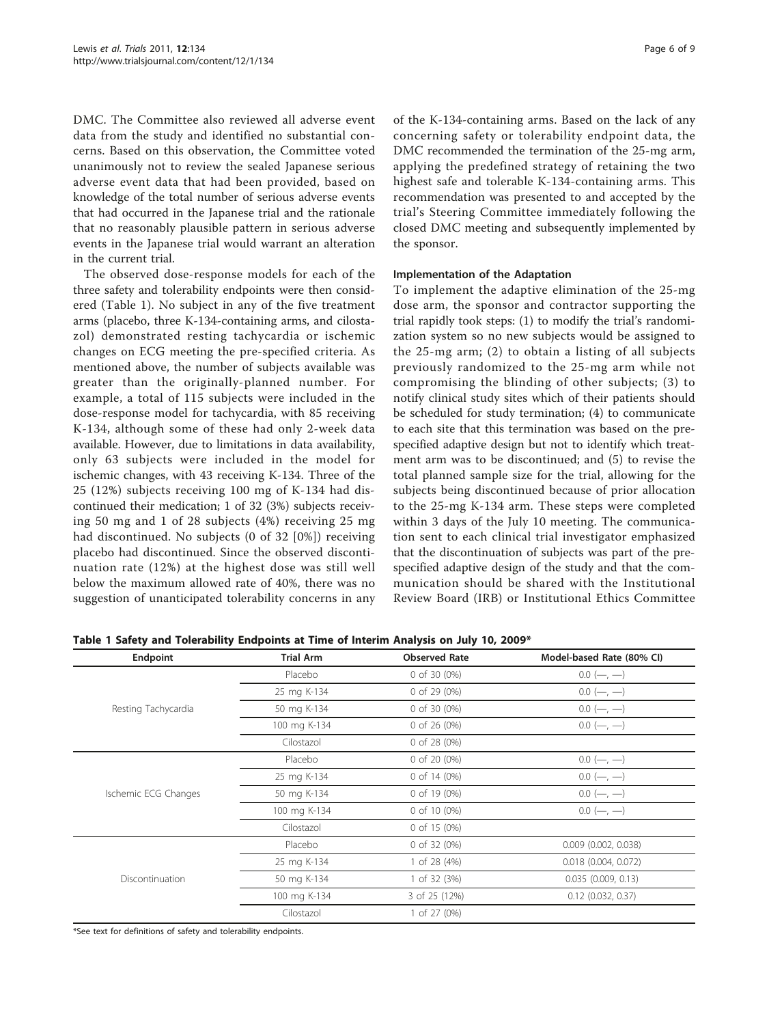DMC. The Committee also reviewed all adverse event data from the study and identified no substantial concerns. Based on this observation, the Committee voted unanimously not to review the sealed Japanese serious adverse event data that had been provided, based on knowledge of the total number of serious adverse events that had occurred in the Japanese trial and the rationale that no reasonably plausible pattern in serious adverse events in the Japanese trial would warrant an alteration in the current trial.

The observed dose-response models for each of the three safety and tolerability endpoints were then considered (Table 1). No subject in any of the five treatment arms (placebo, three K-134-containing arms, and cilostazol) demonstrated resting tachycardia or ischemic changes on ECG meeting the pre-specified criteria. As mentioned above, the number of subjects available was greater than the originally-planned number. For example, a total of 115 subjects were included in the dose-response model for tachycardia, with 85 receiving K-134, although some of these had only 2-week data available. However, due to limitations in data availability, only 63 subjects were included in the model for ischemic changes, with 43 receiving K-134. Three of the 25 (12%) subjects receiving 100 mg of K-134 had discontinued their medication; 1 of 32 (3%) subjects receiving 50 mg and 1 of 28 subjects (4%) receiving 25 mg had discontinued. No subjects (0 of 32 [0%]) receiving placebo had discontinued. Since the observed discontinuation rate (12%) at the highest dose was still well below the maximum allowed rate of 40%, there was no suggestion of unanticipated tolerability concerns in any of the K-134-containing arms. Based on the lack of any concerning safety or tolerability endpoint data, the DMC recommended the termination of the 25-mg arm, applying the predefined strategy of retaining the two highest safe and tolerable K-134-containing arms. This recommendation was presented to and accepted by the trial's Steering Committee immediately following the closed DMC meeting and subsequently implemented by the sponsor.

## Implementation of the Adaptation

To implement the adaptive elimination of the 25-mg dose arm, the sponsor and contractor supporting the trial rapidly took steps: (1) to modify the trial's randomization system so no new subjects would be assigned to the 25-mg arm; (2) to obtain a listing of all subjects previously randomized to the 25-mg arm while not compromising the blinding of other subjects; (3) to notify clinical study sites which of their patients should be scheduled for study termination; (4) to communicate to each site that this termination was based on the prespecified adaptive design but not to identify which treatment arm was to be discontinued; and (5) to revise the total planned sample size for the trial, allowing for the subjects being discontinued because of prior allocation to the 25-mg K-134 arm. These steps were completed within 3 days of the July 10 meeting. The communication sent to each clinical trial investigator emphasized that the discontinuation of subjects was part of the prespecified adaptive design of the study and that the communication should be shared with the Institutional Review Board (IRB) or Institutional Ethics Committee

| Endpoint             | <b>Trial Arm</b> | <b>Observed Rate</b> | Model-based Rate (80% CI) |
|----------------------|------------------|----------------------|---------------------------|
|                      | Placebo          | 0 of 30 $(0\%)$      | $0.0$ (-, -)              |
|                      | 25 mg K-134      | $0$ of 29 (0%)       | $0.0$ (-, -)              |
| Resting Tachycardia  | 50 mg K-134      | $0$ of 30 (0%)       | $0.0$ (-, -)              |
|                      | 100 mg K-134     | $0$ of 26 (0%)       | $0.0$ (-, -)              |
|                      | Cilostazol       | 0 of 28 $(0\%)$      |                           |
|                      | Placebo          | $0$ of 20 (0%)       | $0.0$ (-, -)              |
|                      | 25 mg K-134      | $0$ of 14 (0%)       | $0.0$ (-, -)              |
| Ischemic ECG Changes | 50 mg K-134      | $0$ of 19 (0%)       | $0.0$ (-, -)              |
|                      | 100 mg K-134     | 0 of 10 $(0\%)$      | $0.0$ (-, -)              |
|                      | Cilostazol       | 0 of 15 $(0\%)$      |                           |
|                      | Placebo          | 0 of 32 $(0\%)$      | $0.009$ $(0.002, 0.038)$  |
|                      | 25 mg K-134      | 1 of 28 (4%)         | $0.018$ (0.004, 0.072)    |
| Discontinuation      | 50 mg K-134      | 1 of 32 (3%)         | 0.035(0.009, 0.13)        |
|                      | 100 mg K-134     | 3 of 25 (12%)        | $0.12$ $(0.032, 0.37)$    |
|                      | Cilostazol       | 1 of 27 (0%)         |                           |

Table 1 Safety and Tolerability Endpoints at Time of Interim Analysis on July 10, 2009\*

\*See text for definitions of safety and tolerability endpoints.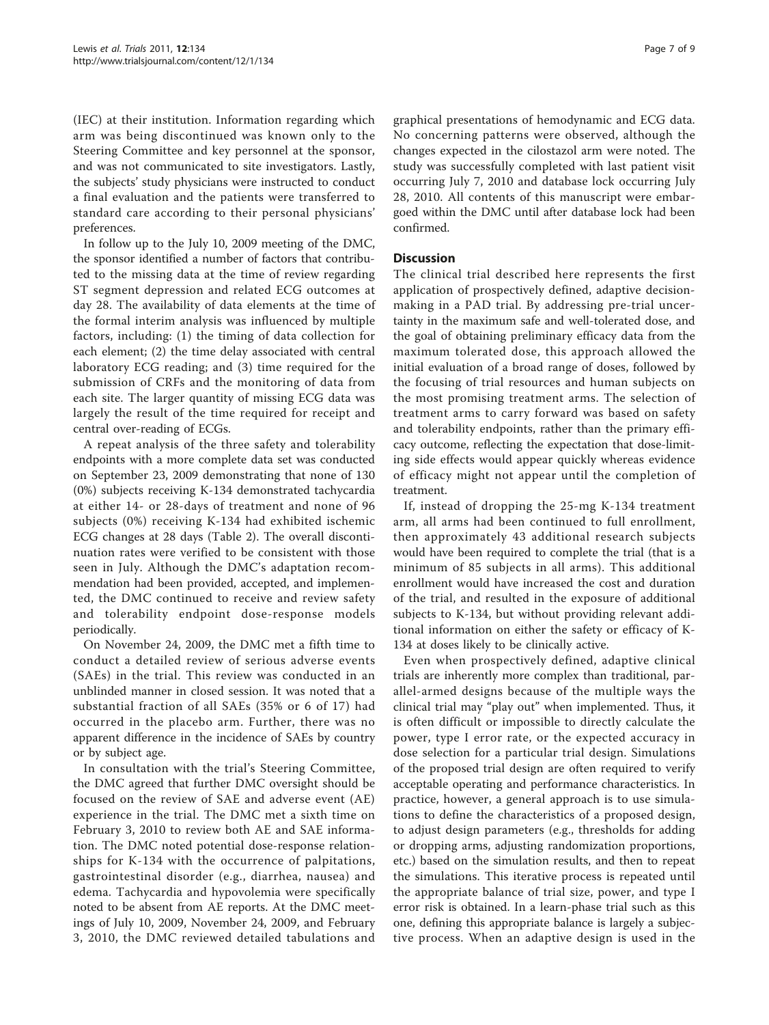(IEC) at their institution. Information regarding which arm was being discontinued was known only to the Steering Committee and key personnel at the sponsor, and was not communicated to site investigators. Lastly, the subjects' study physicians were instructed to conduct a final evaluation and the patients were transferred to standard care according to their personal physicians' preferences.

In follow up to the July 10, 2009 meeting of the DMC, the sponsor identified a number of factors that contributed to the missing data at the time of review regarding ST segment depression and related ECG outcomes at day 28. The availability of data elements at the time of the formal interim analysis was influenced by multiple factors, including: (1) the timing of data collection for each element; (2) the time delay associated with central laboratory ECG reading; and (3) time required for the submission of CRFs and the monitoring of data from each site. The larger quantity of missing ECG data was largely the result of the time required for receipt and central over-reading of ECGs.

A repeat analysis of the three safety and tolerability endpoints with a more complete data set was conducted on September 23, 2009 demonstrating that none of 130 (0%) subjects receiving K-134 demonstrated tachycardia at either 14- or 28-days of treatment and none of 96 subjects (0%) receiving K-134 had exhibited ischemic ECG changes at 28 days (Table [2](#page-7-0)). The overall discontinuation rates were verified to be consistent with those seen in July. Although the DMC's adaptation recommendation had been provided, accepted, and implemented, the DMC continued to receive and review safety and tolerability endpoint dose-response models periodically.

On November 24, 2009, the DMC met a fifth time to conduct a detailed review of serious adverse events (SAEs) in the trial. This review was conducted in an unblinded manner in closed session. It was noted that a substantial fraction of all SAEs (35% or 6 of 17) had occurred in the placebo arm. Further, there was no apparent difference in the incidence of SAEs by country or by subject age.

In consultation with the trial's Steering Committee, the DMC agreed that further DMC oversight should be focused on the review of SAE and adverse event (AE) experience in the trial. The DMC met a sixth time on February 3, 2010 to review both AE and SAE information. The DMC noted potential dose-response relationships for K-134 with the occurrence of palpitations, gastrointestinal disorder (e.g., diarrhea, nausea) and edema. Tachycardia and hypovolemia were specifically noted to be absent from AE reports. At the DMC meetings of July 10, 2009, November 24, 2009, and February 3, 2010, the DMC reviewed detailed tabulations and

graphical presentations of hemodynamic and ECG data. No concerning patterns were observed, although the changes expected in the cilostazol arm were noted. The study was successfully completed with last patient visit occurring July 7, 2010 and database lock occurring July 28, 2010. All contents of this manuscript were embargoed within the DMC until after database lock had been confirmed.

# **Discussion**

The clinical trial described here represents the first application of prospectively defined, adaptive decisionmaking in a PAD trial. By addressing pre-trial uncertainty in the maximum safe and well-tolerated dose, and the goal of obtaining preliminary efficacy data from the maximum tolerated dose, this approach allowed the initial evaluation of a broad range of doses, followed by the focusing of trial resources and human subjects on the most promising treatment arms. The selection of treatment arms to carry forward was based on safety and tolerability endpoints, rather than the primary efficacy outcome, reflecting the expectation that dose-limiting side effects would appear quickly whereas evidence of efficacy might not appear until the completion of treatment.

If, instead of dropping the 25-mg K-134 treatment arm, all arms had been continued to full enrollment, then approximately 43 additional research subjects would have been required to complete the trial (that is a minimum of 85 subjects in all arms). This additional enrollment would have increased the cost and duration of the trial, and resulted in the exposure of additional subjects to K-134, but without providing relevant additional information on either the safety or efficacy of K-134 at doses likely to be clinically active.

Even when prospectively defined, adaptive clinical trials are inherently more complex than traditional, parallel-armed designs because of the multiple ways the clinical trial may "play out" when implemented. Thus, it is often difficult or impossible to directly calculate the power, type I error rate, or the expected accuracy in dose selection for a particular trial design. Simulations of the proposed trial design are often required to verify acceptable operating and performance characteristics. In practice, however, a general approach is to use simulations to define the characteristics of a proposed design, to adjust design parameters (e.g., thresholds for adding or dropping arms, adjusting randomization proportions, etc.) based on the simulation results, and then to repeat the simulations. This iterative process is repeated until the appropriate balance of trial size, power, and type I error risk is obtained. In a learn-phase trial such as this one, defining this appropriate balance is largely a subjective process. When an adaptive design is used in the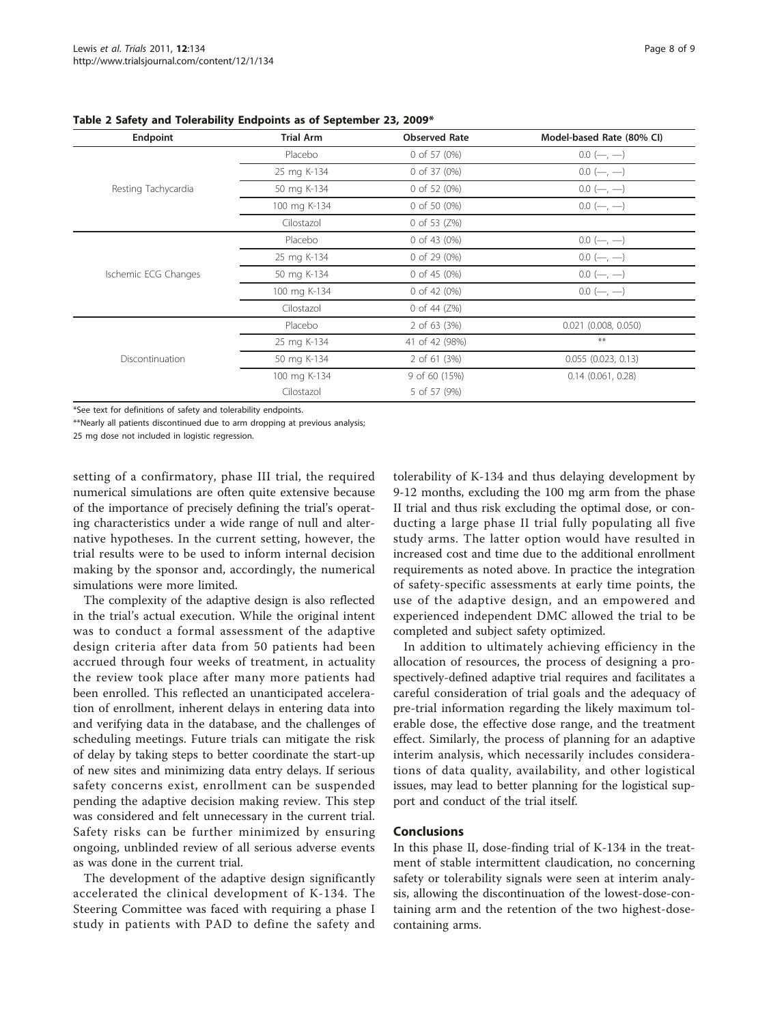| Endpoint             | <b>Trial Arm</b> | <b>Observed Rate</b> | Model-based Rate (80% CI) |
|----------------------|------------------|----------------------|---------------------------|
|                      | Placebo          | $0$ of 57 (0%)       | $0.0$ (-, -)              |
|                      | 25 mg K-134      | $0$ of 37 (0%)       | $0.0$ (-, -)              |
| Resting Tachycardia  | 50 mg K-134      | 0 of 52 (0%)         | $0.0$ (-, -)              |
|                      | 100 mg K-134     | $0$ of 50 (0%)       | $0.0$ (-, -)              |
|                      | Cilostazol       | 0 of 53 $(Z\%)$      |                           |
|                      | Placebo          | $0$ of 43 (0%)       | $0.0$ (-, -)              |
|                      | 25 mg K-134      | $0$ of 29 (0%)       | $0.0$ (-, -)              |
| Ischemic ECG Changes | 50 mg K-134      | 0 of 45 $(0\%)$      | $0.0$ (-, -)              |
|                      | 100 mg K-134     | 0 of 42 $(0\%)$      | $0.0$ (-, -)              |
|                      | Cilostazol       | 0 of 44 $(Z\%)$      |                           |
|                      | Placebo          | 2 of 63 (3%)         | $0.021$ (0.008, 0.050)    |
|                      | 25 mg K-134      | 41 of 42 (98%)       | **                        |
| Discontinuation      | 50 mg K-134      | 2 of 61 (3%)         | $0.055$ (0.023, 0.13)     |
|                      | 100 mg K-134     | 9 of 60 (15%)        | 0.14(0.061, 0.28)         |
|                      | Cilostazol       | 5 of 57 (9%)         |                           |
|                      |                  |                      |                           |

<span id="page-7-0"></span>Table 2 Safety and Tolerability Endpoints as of September 23, 2009\*

\*See text for definitions of safety and tolerability endpoints.

\*\*Nearly all patients discontinued due to arm dropping at previous analysis;

25 mg dose not included in logistic regression.

setting of a confirmatory, phase III trial, the required numerical simulations are often quite extensive because of the importance of precisely defining the trial's operating characteristics under a wide range of null and alternative hypotheses. In the current setting, however, the trial results were to be used to inform internal decision making by the sponsor and, accordingly, the numerical simulations were more limited.

The complexity of the adaptive design is also reflected in the trial's actual execution. While the original intent was to conduct a formal assessment of the adaptive design criteria after data from 50 patients had been accrued through four weeks of treatment, in actuality the review took place after many more patients had been enrolled. This reflected an unanticipated acceleration of enrollment, inherent delays in entering data into and verifying data in the database, and the challenges of scheduling meetings. Future trials can mitigate the risk of delay by taking steps to better coordinate the start-up of new sites and minimizing data entry delays. If serious safety concerns exist, enrollment can be suspended pending the adaptive decision making review. This step was considered and felt unnecessary in the current trial. Safety risks can be further minimized by ensuring ongoing, unblinded review of all serious adverse events as was done in the current trial.

The development of the adaptive design significantly accelerated the clinical development of K-134. The Steering Committee was faced with requiring a phase I study in patients with PAD to define the safety and

tolerability of K-134 and thus delaying development by 9-12 months, excluding the 100 mg arm from the phase II trial and thus risk excluding the optimal dose, or conducting a large phase II trial fully populating all five study arms. The latter option would have resulted in increased cost and time due to the additional enrollment requirements as noted above. In practice the integration of safety-specific assessments at early time points, the use of the adaptive design, and an empowered and experienced independent DMC allowed the trial to be completed and subject safety optimized.

In addition to ultimately achieving efficiency in the allocation of resources, the process of designing a prospectively-defined adaptive trial requires and facilitates a careful consideration of trial goals and the adequacy of pre-trial information regarding the likely maximum tolerable dose, the effective dose range, and the treatment effect. Similarly, the process of planning for an adaptive interim analysis, which necessarily includes considerations of data quality, availability, and other logistical issues, may lead to better planning for the logistical support and conduct of the trial itself.

# Conclusions

In this phase II, dose-finding trial of K-134 in the treatment of stable intermittent claudication, no concerning safety or tolerability signals were seen at interim analysis, allowing the discontinuation of the lowest-dose-containing arm and the retention of the two highest-dosecontaining arms.